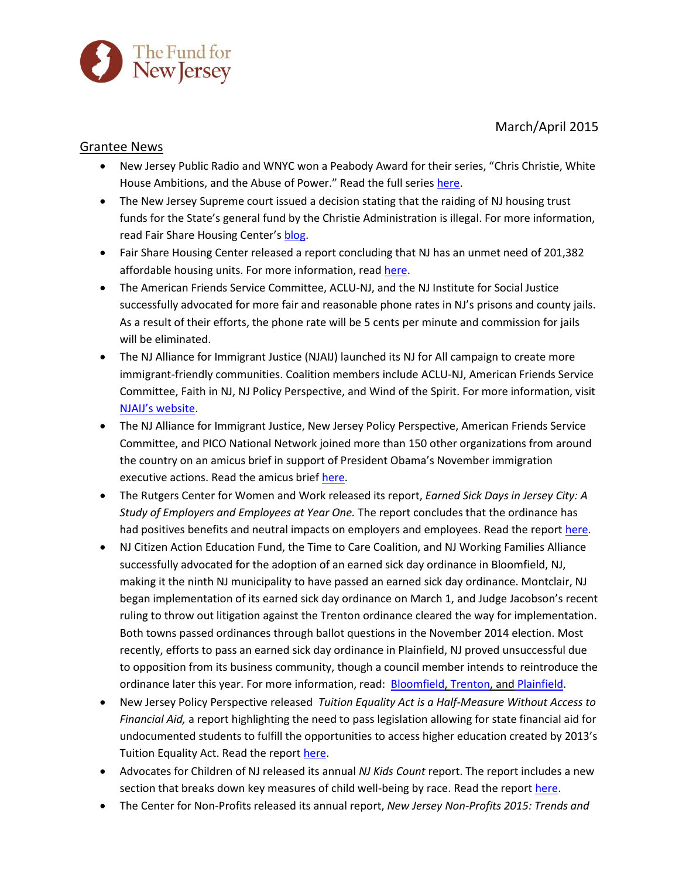March/April 2015



## Grantee News

- New Jersey Public Radio and WNYC won a Peabody Award for their series, "Chris Christie, White House Ambitions, and the Abuse of Power." Read the full series [here.](http://www.wnyc.org/story/wnyc-wins-peabody-chris-christie-white-house-amibitions-and-abuse-power/)
- The New Jersey Supreme court issued a decision stating that the raiding of NJ housing trust funds for the State's general fund by the Christie Administration is illegal. For more information, read Fair Share Housing Center's [blog.](http://fairsharehousing.org/blog/entry/court-rules-trust-fund-raid-illegal/)
- Fair Share Housing Center released a report concluding that NJ has an unmet need of 201,382 affordable housing units. For more information, rea[d here.](http://www.njbiz.com/article/20150423/NJBIZ01/150429891/advocacy-groups-report-puts-affordable-housing-need-at-200k-statewide)
- The American Friends Service Committee, ACLU-NJ, and the NJ Institute for Social Justice successfully advocated for more fair and reasonable phone rates in NJ's prisons and county jails. As a result of their efforts, the phone rate will be 5 cents per minute and commission for jails will be eliminated.
- The NJ Alliance for Immigrant Justice (NJAIJ) launched its NJ for All campaign to create more immigrant-friendly communities. Coalition members include ACLU-NJ, American Friends Service Committee, Faith in NJ, NJ Policy Perspective, and Wind of the Spirit. For more information, visit [NJAIJ's website](http://www.njimmigrantjustice.org/).
- The NJ Alliance for Immigrant Justice, New Jersey Policy Perspective, American Friends Service Committee, and PICO National Network joined more than 150 other organizations from around the country on an amicus brief in support of President Obama's November immigration executive actions. Read the amicus brief [here.](http://njpp.org/assets/dacaamicus.PDF)
- The Rutgers Center for Women and Work released its report, *Earned Sick Days in Jersey City: A Study of Employers and Employees at Year One.* The report concludes that the ordinance has had positives benefits and neutral impacts on employers and employees. Read the repor[t here.](http://cww.rutgers.edu/sites/cww.rutgers.edu/files/documents/working_families/Jersey_City_ESD_Issue_Brief.pdf)
- NJ Citizen Action Education Fund, the Time to Care Coalition, and NJ Working Families Alliance successfully advocated for the adoption of an earned sick day ordinance in Bloomfield, NJ, making it the ninth NJ municipality to have passed an earned sick day ordinance. Montclair, NJ began implementation of its earned sick day ordinance on March 1, and Judge Jacobson's recent ruling to throw out litigation against the Trenton ordinance cleared the way for implementation. Both towns passed ordinances through ballot questions in the November 2014 election. Most recently, efforts to pass an earned sick day ordinance in Plainfield, NJ proved unsuccessful due to opposition from its business community, though a council member intends to reintroduce the ordinance later this year. For more information, read: [Bloomfield,](http://www.nj.com/essex/index.ssf/2015/03/bloomfield_becomes_first_nj_town_this_year_to_mand.html) [Trenton,](http://www.nj.com/mercer/index.ssf/2015/04/nj_judge_throws_out_lawsuit_challenging_trenton_pa.html) and [Plainfield.](http://www.mycentraljersey.com/story/news/local/union-county/2015/04/13/plainfield-city-council-rejects-proposed-paid-sick-day-law-businesses/25751173/)
- New Jersey Policy Perspective released *Tuition Equality Act is a Half-Measure Without Access to Financial Aid,* a report highlighting the need to pass legislation allowing for state financial aid for undocumented students to fulfill the opportunities to access higher education created by 2013's Tuition Equality Act. Read the repor[t here.](http://www.njpp.org/reports/tuition-equality-act-is-a-half-measure-without-access-to-financial-aid)
- Advocates for Children of NJ released its annual *NJ Kids Count* report. The report includes a new section that breaks down key measures of child well-being by race. Read the repor[t here.](http://acnj.org/downloads/2015_04_20_kidscount_statereport.pdf)
- The Center for Non-Profits released its annual report, *New Jersey Non-Profits 2015: Trends and*